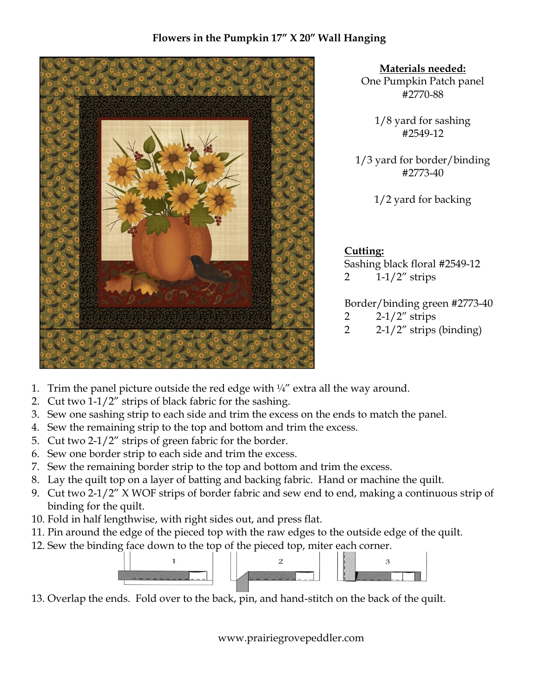# **Flowers in the Pumpkin 17" X 20" Wall Hanging**



**Materials needed:** One Pumpkin Patch panel #2770-88

> 1/8 yard for sashing #2549-12

1/3 yard for border/binding #2773-40

1/2 yard for backing

**Cutting:** Sashing black floral #2549-12 2  $1-1/2$ " strips

Border/binding green #2773-40 2  $2-1/2$ " strips

- 2  $2 1/2$ " strips (binding)
- 1. Trim the panel picture outside the red edge with  $\frac{1}{4}$  extra all the way around.
- 2. Cut two 1-1/2" strips of black fabric for the sashing.
- 3. Sew one sashing strip to each side and trim the excess on the ends to match the panel.
- 4. Sew the remaining strip to the top and bottom and trim the excess.
- 5. Cut two 2-1/2" strips of green fabric for the border.
- 6. Sew one border strip to each side and trim the excess.
- 7. Sew the remaining border strip to the top and bottom and trim the excess.
- 8. Lay the quilt top on a layer of batting and backing fabric. Hand or machine the quilt.
- 9. Cut two 2-1/2" X WOF strips of border fabric and sew end to end, making a continuous strip of binding for the quilt.
- 10. Fold in half lengthwise, with right sides out, and press flat.
- 11. Pin around the edge of the pieced top with the raw edges to the outside edge of the quilt.
- 12. Sew the binding face down to the top of the pieced top, miter each corner.



13. Overlap the ends. Fold over to the back, pin, and hand-stitch on the back of the quilt.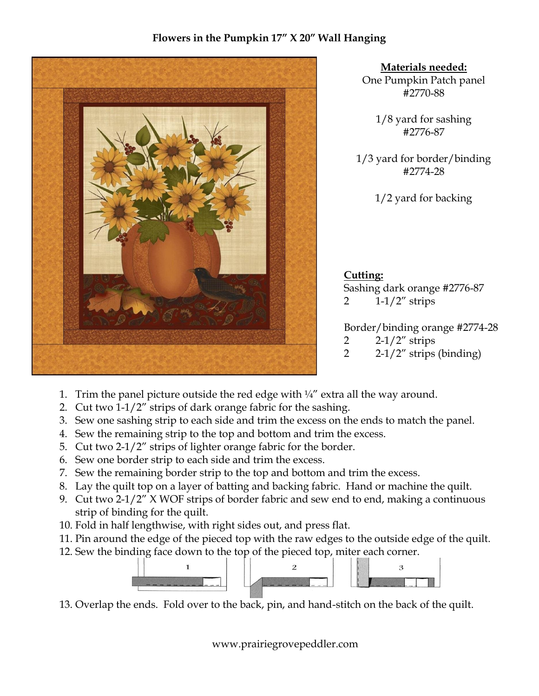# **Flowers in the Pumpkin 17" X 20" Wall Hanging**



**Materials needed:** One Pumpkin Patch panel #2770-88

> 1/8 yard for sashing #2776-87

1/3 yard for border/binding #2774-28

1/2 yard for backing

**Cutting:** Sashing dark orange #2776-87 2  $1-1/2$ " strips

Border/binding orange #2774-28 2  $2 - 1/2$ " strips

- 2  $2 1/2$ " strips (binding)
- 1. Trim the panel picture outside the red edge with  $\frac{1}{4}$  extra all the way around.
- 2. Cut two 1-1/2" strips of dark orange fabric for the sashing.
- 3. Sew one sashing strip to each side and trim the excess on the ends to match the panel.
- 4. Sew the remaining strip to the top and bottom and trim the excess.
- 5. Cut two 2-1/2" strips of lighter orange fabric for the border.
- 6. Sew one border strip to each side and trim the excess.
- 7. Sew the remaining border strip to the top and bottom and trim the excess.
- 8. Lay the quilt top on a layer of batting and backing fabric. Hand or machine the quilt.
- 9. Cut two 2-1/2" X WOF strips of border fabric and sew end to end, making a continuous strip of binding for the quilt.
- 10. Fold in half lengthwise, with right sides out, and press flat.
- 11. Pin around the edge of the pieced top with the raw edges to the outside edge of the quilt.
- 12. Sew the binding face down to the top of the pieced top, miter each corner.



13. Overlap the ends. Fold over to the back, pin, and hand-stitch on the back of the quilt.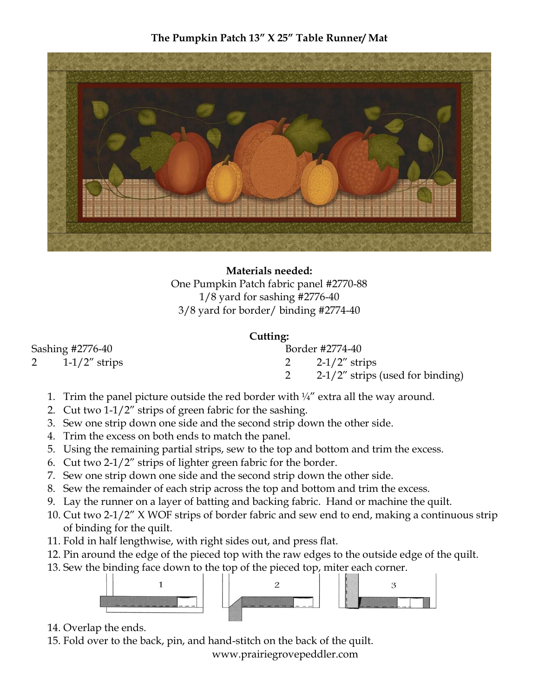# **The Pumpkin Patch 13" X 25" Table Runner/ Mat**



**Materials needed:** One Pumpkin Patch fabric panel #2770-88 1/8 yard for sashing #2776-40 3/8 yard for border/ binding #2774-40

#### **Cutting:**

| Sashing #2776-40 |                  | Border #2774-40                     |  |
|------------------|------------------|-------------------------------------|--|
|                  | $1-1/2$ " strips | 2 $2-1/2$ " strips                  |  |
|                  |                  | $2-1/2$ " strips (used for binding) |  |
|                  |                  |                                     |  |

- 1. Trim the panel picture outside the red border with  $\frac{1}{4}$ " extra all the way around.
- 2. Cut two 1-1/2" strips of green fabric for the sashing.
- 3. Sew one strip down one side and the second strip down the other side.
- 4. Trim the excess on both ends to match the panel.
- 5. Using the remaining partial strips, sew to the top and bottom and trim the excess.
- 6. Cut two 2-1/2" strips of lighter green fabric for the border.
- 7. Sew one strip down one side and the second strip down the other side.
- 8. Sew the remainder of each strip across the top and bottom and trim the excess.
- 9. Lay the runner on a layer of batting and backing fabric. Hand or machine the quilt.
- 10. Cut two 2-1/2" X WOF strips of border fabric and sew end to end, making a continuous strip of binding for the quilt.
- 11. Fold in half lengthwise, with right sides out, and press flat.
- 12. Pin around the edge of the pieced top with the raw edges to the outside edge of the quilt.
- 13. Sew the binding face down to the top of the pieced top, miter each corner.



- 14. Overlap the ends.
- 15. Fold over to the back, pin, and hand-stitch on the back of the quilt.